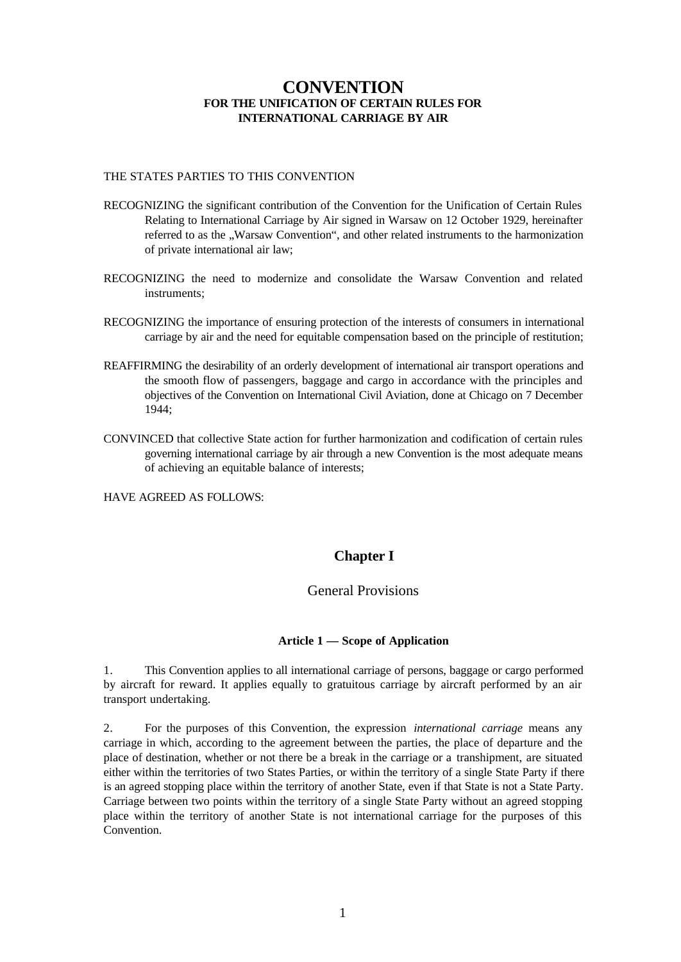# **CONVENTION FOR THE UNIFICATION OF CERTAIN RULES FOR INTERNATIONAL CARRIAGE BY AIR**

## THE STATES PARTIES TO THIS CONVENTION

- RECOGNIZING the significant contribution of the Convention for the Unification of Certain Rules Relating to International Carriage by Air signed in Warsaw on 12 October 1929, hereinafter referred to as the "Warsaw Convention", and other related instruments to the harmonization of private international air law;
- RECOGNIZING the need to modernize and consolidate the Warsaw Convention and related instruments;
- RECOGNIZING the importance of ensuring protection of the interests of consumers in international carriage by air and the need for equitable compensation based on the principle of restitution;
- REAFFIRMING the desirability of an orderly development of international air transport operations and the smooth flow of passengers, baggage and cargo in accordance with the principles and objectives of the Convention on International Civil Aviation, done at Chicago on 7 December 1944;
- CONVINCED that collective State action for further harmonization and codification of certain rules governing international carriage by air through a new Convention is the most adequate means of achieving an equitable balance of interests;

HAVE AGREED AS FOLLOWS:

# **Chapter I**

# General Provisions

#### **Article 1 — Scope of Application**

1. This Convention applies to all international carriage of persons, baggage or cargo performed by aircraft for reward. It applies equally to gratuitous carriage by aircraft performed by an air transport undertaking.

2. For the purposes of this Convention, the expression *international carriage* means any carriage in which, according to the agreement between the parties, the place of departure and the place of destination, whether or not there be a break in the carriage or a transhipment, are situated either within the territories of two States Parties, or within the territory of a single State Party if there is an agreed stopping place within the territory of another State, even if that State is not a State Party. Carriage between two points within the territory of a single State Party without an agreed stopping place within the territory of another State is not international carriage for the purposes of this Convention.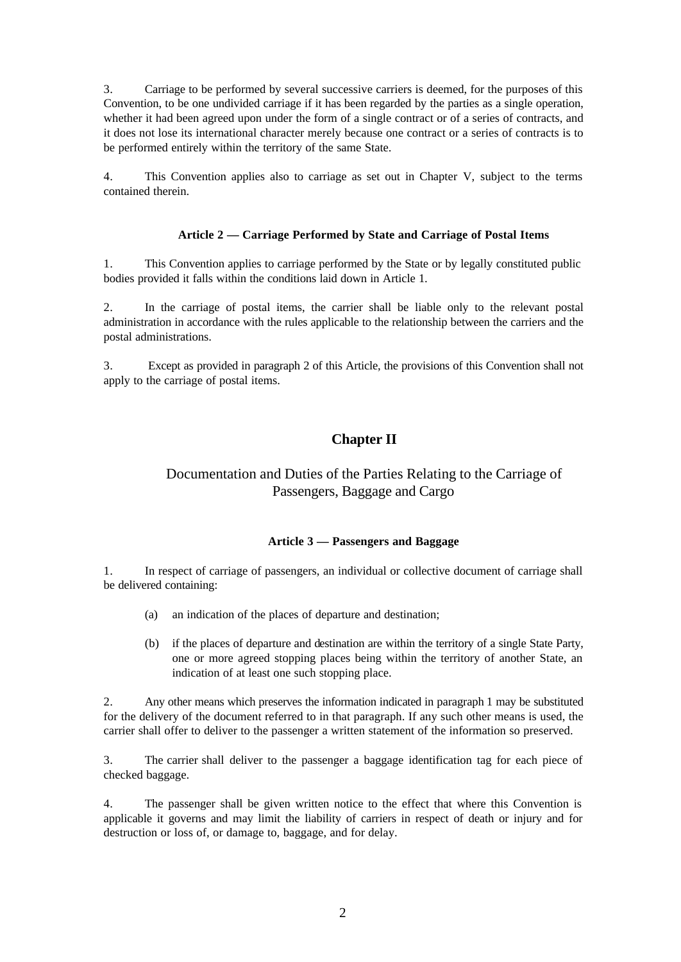3. Carriage to be performed by several successive carriers is deemed, for the purposes of this Convention, to be one undivided carriage if it has been regarded by the parties as a single operation, whether it had been agreed upon under the form of a single contract or of a series of contracts, and it does not lose its international character merely because one contract or a series of contracts is to be performed entirely within the territory of the same State.

4. This Convention applies also to carriage as set out in Chapter V, subject to the terms contained therein.

## **Article 2 — Carriage Performed by State and Carriage of Postal Items**

1. This Convention applies to carriage performed by the State or by legally constituted public bodies provided it falls within the conditions laid down in Article 1.

2. In the carriage of postal items, the carrier shall be liable only to the relevant postal administration in accordance with the rules applicable to the relationship between the carriers and the postal administrations.

3. Except as provided in paragraph 2 of this Article, the provisions of this Convention shall not apply to the carriage of postal items.

# **Chapter II**

# Documentation and Duties of the Parties Relating to the Carriage of Passengers, Baggage and Cargo

#### **Article 3 — Passengers and Baggage**

1. In respect of carriage of passengers, an individual or collective document of carriage shall be delivered containing:

- (a) an indication of the places of departure and destination;
- (b) if the places of departure and destination are within the territory of a single State Party, one or more agreed stopping places being within the territory of another State, an indication of at least one such stopping place.

2. Any other means which preserves the information indicated in paragraph 1 may be substituted for the delivery of the document referred to in that paragraph. If any such other means is used, the carrier shall offer to deliver to the passenger a written statement of the information so preserved.

3. The carrier shall deliver to the passenger a baggage identification tag for each piece of checked baggage.

4. The passenger shall be given written notice to the effect that where this Convention is applicable it governs and may limit the liability of carriers in respect of death or injury and for destruction or loss of, or damage to, baggage, and for delay.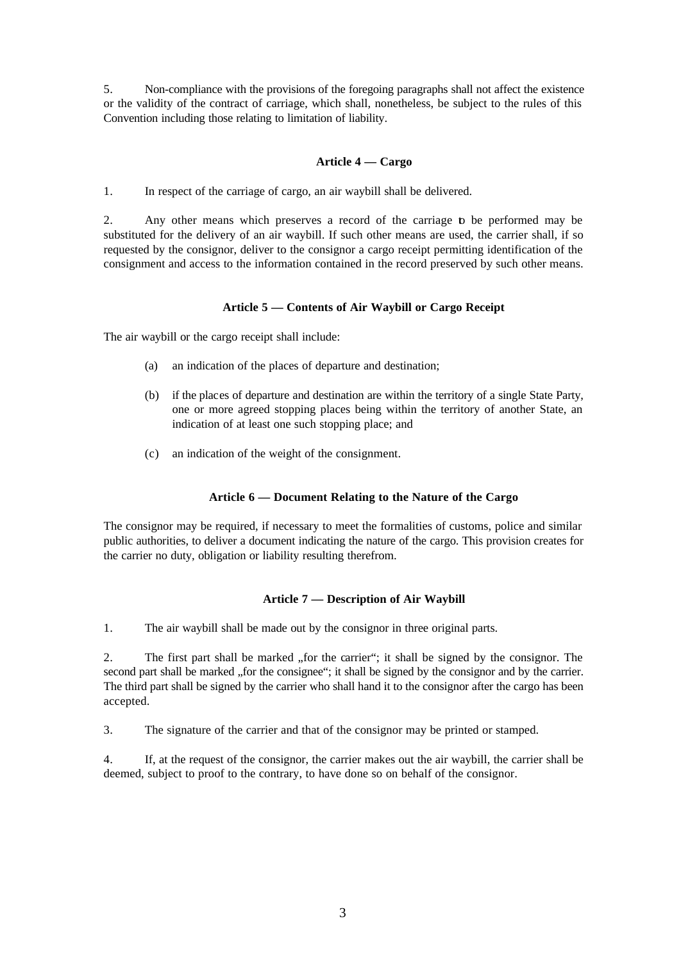5. Non-compliance with the provisions of the foregoing paragraphs shall not affect the existence or the validity of the contract of carriage, which shall, nonetheless, be subject to the rules of this Convention including those relating to limitation of liability.

# **Article 4 — Cargo**

1. In respect of the carriage of cargo, an air waybill shall be delivered.

2. Any other means which preserves a record of the carriage to be performed may be substituted for the delivery of an air waybill. If such other means are used, the carrier shall, if so requested by the consignor, deliver to the consignor a cargo receipt permitting identification of the consignment and access to the information contained in the record preserved by such other means.

# **Article 5 — Contents of Air Waybill or Cargo Receipt**

The air waybill or the cargo receipt shall include:

- (a) an indication of the places of departure and destination;
- (b) if the places of departure and destination are within the territory of a single State Party, one or more agreed stopping places being within the territory of another State, an indication of at least one such stopping place; and
- (c) an indication of the weight of the consignment.

# **Article 6 — Document Relating to the Nature of the Cargo**

The consignor may be required, if necessary to meet the formalities of customs, police and similar public authorities, to deliver a document indicating the nature of the cargo. This provision creates for the carrier no duty, obligation or liability resulting therefrom.

# **Article 7 — Description of Air Waybill**

1. The air waybill shall be made out by the consignor in three original parts.

2. The first part shall be marked "for the carrier"; it shall be signed by the consignor. The second part shall be marked . for the consignee"; it shall be signed by the consignor and by the carrier. The third part shall be signed by the carrier who shall hand it to the consignor after the cargo has been accepted.

3. The signature of the carrier and that of the consignor may be printed or stamped.

4. If, at the request of the consignor, the carrier makes out the air waybill, the carrier shall be deemed, subject to proof to the contrary, to have done so on behalf of the consignor.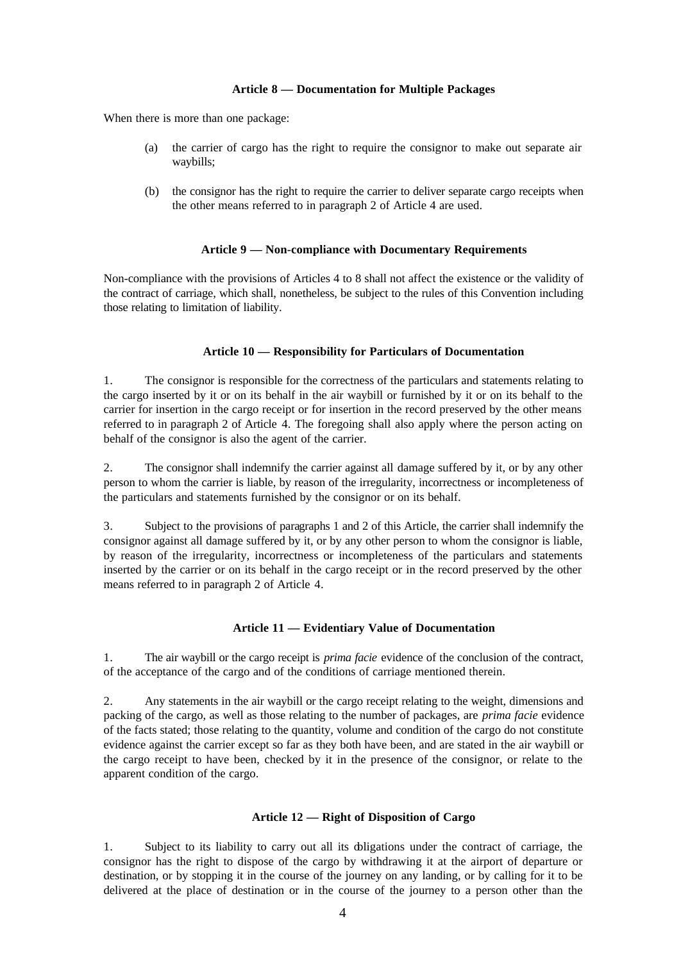#### **Article 8 — Documentation for Multiple Packages**

When there is more than one package:

- (a) the carrier of cargo has the right to require the consignor to make out separate air waybills;
- (b) the consignor has the right to require the carrier to deliver separate cargo receipts when the other means referred to in paragraph 2 of Article 4 are used.

## **Article 9 — Non-compliance with Documentary Requirements**

Non-compliance with the provisions of Articles 4 to 8 shall not affect the existence or the validity of the contract of carriage, which shall, nonetheless, be subject to the rules of this Convention including those relating to limitation of liability.

## **Article 10 — Responsibility for Particulars of Documentation**

1. The consignor is responsible for the correctness of the particulars and statements relating to the cargo inserted by it or on its behalf in the air waybill or furnished by it or on its behalf to the carrier for insertion in the cargo receipt or for insertion in the record preserved by the other means referred to in paragraph 2 of Article 4. The foregoing shall also apply where the person acting on behalf of the consignor is also the agent of the carrier.

2. The consignor shall indemnify the carrier against all damage suffered by it, or by any other person to whom the carrier is liable, by reason of the irregularity, incorrectness or incompleteness of the particulars and statements furnished by the consignor or on its behalf.

3. Subject to the provisions of paragraphs 1 and 2 of this Article, the carrier shall indemnify the consignor against all damage suffered by it, or by any other person to whom the consignor is liable, by reason of the irregularity, incorrectness or incompleteness of the particulars and statements inserted by the carrier or on its behalf in the cargo receipt or in the record preserved by the other means referred to in paragraph 2 of Article 4.

# **Article 11 — Evidentiary Value of Documentation**

1. The air waybill or the cargo receipt is *prima facie* evidence of the conclusion of the contract, of the acceptance of the cargo and of the conditions of carriage mentioned therein.

2. Any statements in the air waybill or the cargo receipt relating to the weight, dimensions and packing of the cargo, as well as those relating to the number of packages, are *prima facie* evidence of the facts stated; those relating to the quantity, volume and condition of the cargo do not constitute evidence against the carrier except so far as they both have been, and are stated in the air waybill or the cargo receipt to have been, checked by it in the presence of the consignor, or relate to the apparent condition of the cargo.

#### **Article 12 — Right of Disposition of Cargo**

1. Subject to its liability to carry out all its obligations under the contract of carriage, the consignor has the right to dispose of the cargo by withdrawing it at the airport of departure or destination, or by stopping it in the course of the journey on any landing, or by calling for it to be delivered at the place of destination or in the course of the journey to a person other than the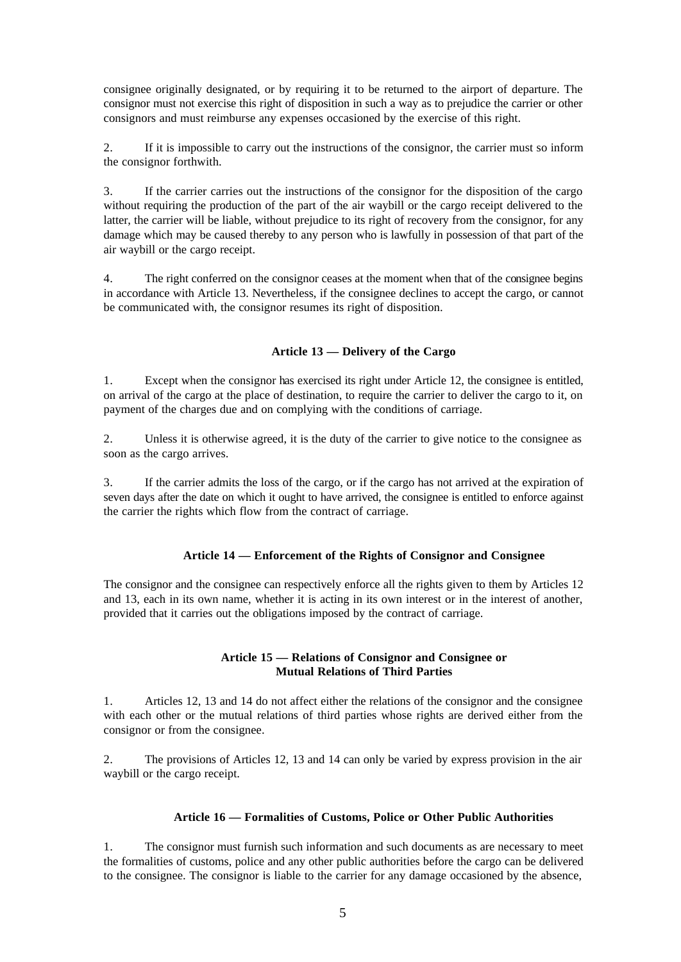consignee originally designated, or by requiring it to be returned to the airport of departure. The consignor must not exercise this right of disposition in such a way as to prejudice the carrier or other consignors and must reimburse any expenses occasioned by the exercise of this right.

2. If it is impossible to carry out the instructions of the consignor, the carrier must so inform the consignor forthwith.

3. If the carrier carries out the instructions of the consignor for the disposition of the cargo without requiring the production of the part of the air waybill or the cargo receipt delivered to the latter, the carrier will be liable, without prejudice to its right of recovery from the consignor, for any damage which may be caused thereby to any person who is lawfully in possession of that part of the air waybill or the cargo receipt.

4. The right conferred on the consignor ceases at the moment when that of the consignee begins in accordance with Article 13. Nevertheless, if the consignee declines to accept the cargo, or cannot be communicated with, the consignor resumes its right of disposition.

#### **Article 13 — Delivery of the Cargo**

1. Except when the consignor has exercised its right under Article 12, the consignee is entitled, on arrival of the cargo at the place of destination, to require the carrier to deliver the cargo to it, on payment of the charges due and on complying with the conditions of carriage.

2. Unless it is otherwise agreed, it is the duty of the carrier to give notice to the consignee as soon as the cargo arrives.

3. If the carrier admits the loss of the cargo, or if the cargo has not arrived at the expiration of seven days after the date on which it ought to have arrived, the consignee is entitled to enforce against the carrier the rights which flow from the contract of carriage.

# **Article 14 — Enforcement of the Rights of Consignor and Consignee**

The consignor and the consignee can respectively enforce all the rights given to them by Articles 12 and 13, each in its own name, whether it is acting in its own interest or in the interest of another, provided that it carries out the obligations imposed by the contract of carriage.

#### **Article 15 — Relations of Consignor and Consignee or Mutual Relations of Third Parties**

1. Articles 12, 13 and 14 do not affect either the relations of the consignor and the consignee with each other or the mutual relations of third parties whose rights are derived either from the consignor or from the consignee.

2. The provisions of Articles 12, 13 and 14 can only be varied by express provision in the air waybill or the cargo receipt.

## **Article 16 — Formalities of Customs, Police or Other Public Authorities**

1. The consignor must furnish such information and such documents as are necessary to meet the formalities of customs, police and any other public authorities before the cargo can be delivered to the consignee. The consignor is liable to the carrier for any damage occasioned by the absence,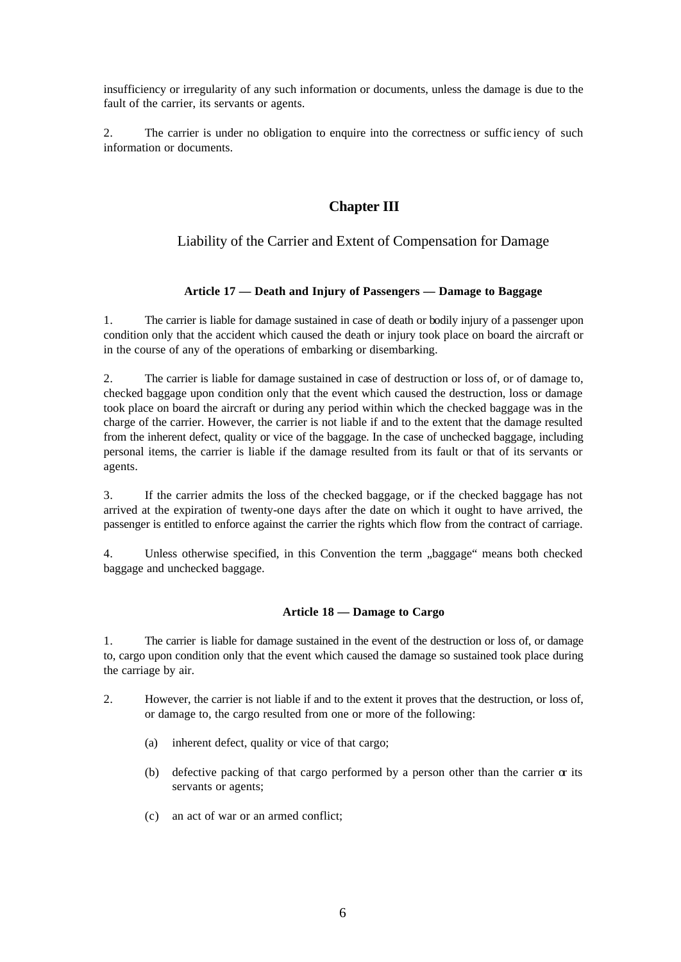insufficiency or irregularity of any such information or documents, unless the damage is due to the fault of the carrier, its servants or agents.

2. The carrier is under no obligation to enquire into the correctness or suffic iency of such information or documents.

# **Chapter III**

# Liability of the Carrier and Extent of Compensation for Damage

## **Article 17 — Death and Injury of Passengers — Damage to Baggage**

1. The carrier is liable for damage sustained in case of death or bodily injury of a passenger upon condition only that the accident which caused the death or injury took place on board the aircraft or in the course of any of the operations of embarking or disembarking.

2. The carrier is liable for damage sustained in case of destruction or loss of, or of damage to, checked baggage upon condition only that the event which caused the destruction, loss or damage took place on board the aircraft or during any period within which the checked baggage was in the charge of the carrier. However, the carrier is not liable if and to the extent that the damage resulted from the inherent defect, quality or vice of the baggage. In the case of unchecked baggage, including personal items, the carrier is liable if the damage resulted from its fault or that of its servants or agents.

3. If the carrier admits the loss of the checked baggage, or if the checked baggage has not arrived at the expiration of twenty-one days after the date on which it ought to have arrived, the passenger is entitled to enforce against the carrier the rights which flow from the contract of carriage.

4. Unless otherwise specified, in this Convention the term "baggage" means both checked baggage and unchecked baggage.

## **Article 18 — Damage to Cargo**

1. The carrier is liable for damage sustained in the event of the destruction or loss of, or damage to, cargo upon condition only that the event which caused the damage so sustained took place during the carriage by air.

- 2. However, the carrier is not liable if and to the extent it proves that the destruction, or loss of, or damage to, the cargo resulted from one or more of the following:
	- (a) inherent defect, quality or vice of that cargo;
	- (b) defective packing of that cargo performed by a person other than the carrier  $\alpha$  its servants or agents;
	- (c) an act of war or an armed conflict;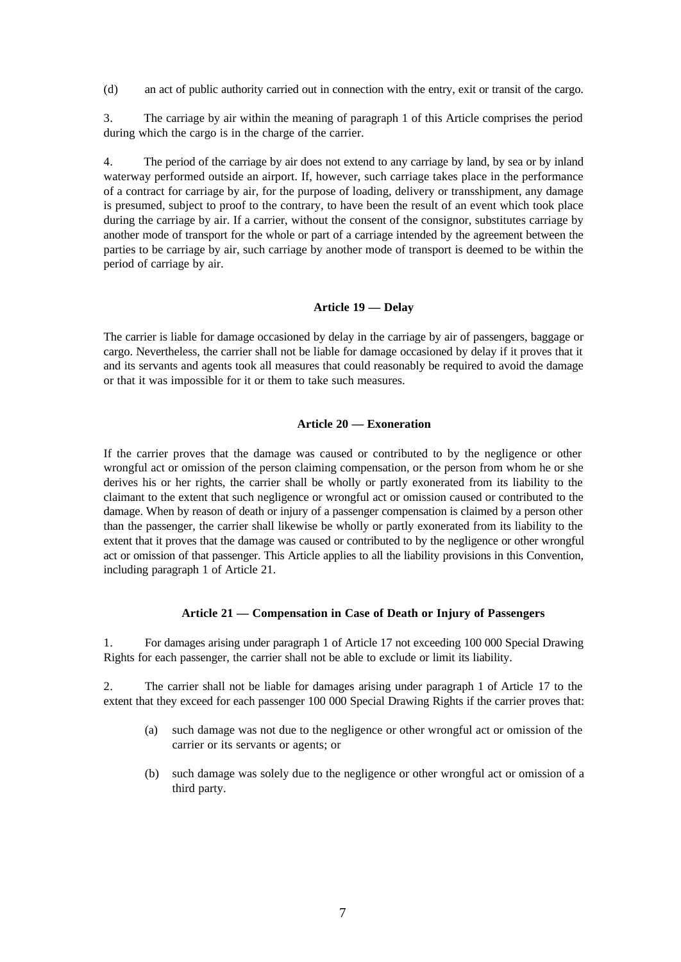(d) an act of public authority carried out in connection with the entry, exit or transit of the cargo.

3. The carriage by air within the meaning of paragraph 1 of this Article comprises the period during which the cargo is in the charge of the carrier.

4. The period of the carriage by air does not extend to any carriage by land, by sea or by inland waterway performed outside an airport. If, however, such carriage takes place in the performance of a contract for carriage by air, for the purpose of loading, delivery or transshipment, any damage is presumed, subject to proof to the contrary, to have been the result of an event which took place during the carriage by air. If a carrier, without the consent of the consignor, substitutes carriage by another mode of transport for the whole or part of a carriage intended by the agreement between the parties to be carriage by air, such carriage by another mode of transport is deemed to be within the period of carriage by air.

#### **Article 19 — Delay**

The carrier is liable for damage occasioned by delay in the carriage by air of passengers, baggage or cargo. Nevertheless, the carrier shall not be liable for damage occasioned by delay if it proves that it and its servants and agents took all measures that could reasonably be required to avoid the damage or that it was impossible for it or them to take such measures.

## **Article 20 — Exoneration**

If the carrier proves that the damage was caused or contributed to by the negligence or other wrongful act or omission of the person claiming compensation, or the person from whom he or she derives his or her rights, the carrier shall be wholly or partly exonerated from its liability to the claimant to the extent that such negligence or wrongful act or omission caused or contributed to the damage. When by reason of death or injury of a passenger compensation is claimed by a person other than the passenger, the carrier shall likewise be wholly or partly exonerated from its liability to the extent that it proves that the damage was caused or contributed to by the negligence or other wrongful act or omission of that passenger. This Article applies to all the liability provisions in this Convention, including paragraph 1 of Article 21.

#### **Article 21 — Compensation in Case of Death or Injury of Passengers**

1. For damages arising under paragraph 1 of Article 17 not exceeding 100 000 Special Drawing Rights for each passenger, the carrier shall not be able to exclude or limit its liability.

2. The carrier shall not be liable for damages arising under paragraph 1 of Article 17 to the extent that they exceed for each passenger 100 000 Special Drawing Rights if the carrier proves that:

- (a) such damage was not due to the negligence or other wrongful act or omission of the carrier or its servants or agents; or
- (b) such damage was solely due to the negligence or other wrongful act or omission of a third party.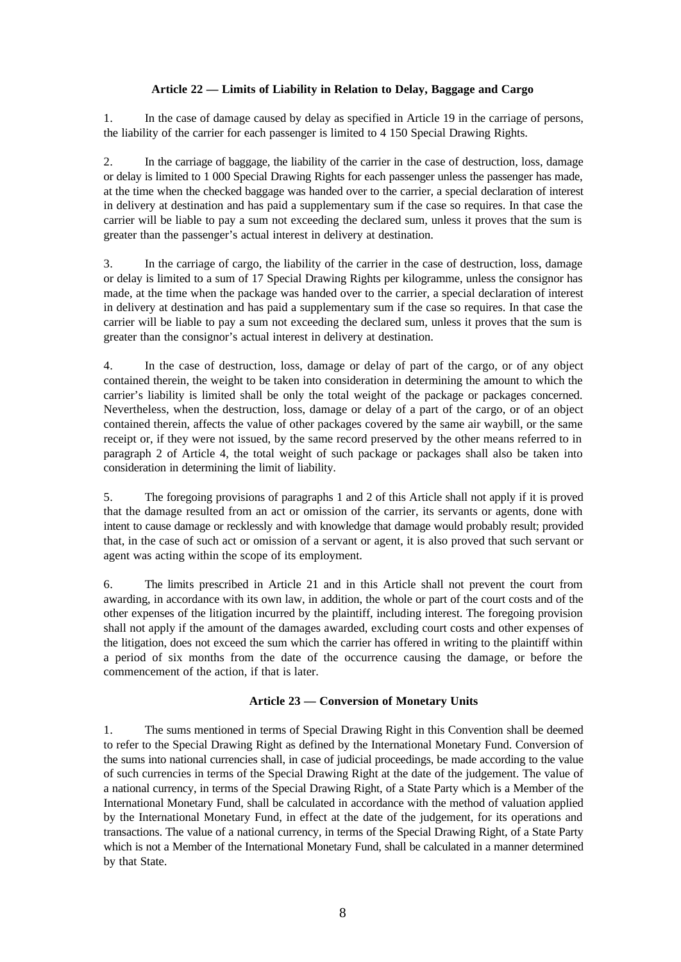# **Article 22 — Limits of Liability in Relation to Delay, Baggage and Cargo**

1. In the case of damage caused by delay as specified in Article 19 in the carriage of persons, the liability of the carrier for each passenger is limited to 4 150 Special Drawing Rights.

2. In the carriage of baggage, the liability of the carrier in the case of destruction, loss, damage or delay is limited to 1 000 Special Drawing Rights for each passenger unless the passenger has made, at the time when the checked baggage was handed over to the carrier, a special declaration of interest in delivery at destination and has paid a supplementary sum if the case so requires. In that case the carrier will be liable to pay a sum not exceeding the declared sum, unless it proves that the sum is greater than the passenger's actual interest in delivery at destination.

3. In the carriage of cargo, the liability of the carrier in the case of destruction, loss, damage or delay is limited to a sum of 17 Special Drawing Rights per kilogramme, unless the consignor has made, at the time when the package was handed over to the carrier, a special declaration of interest in delivery at destination and has paid a supplementary sum if the case so requires. In that case the carrier will be liable to pay a sum not exceeding the declared sum, unless it proves that the sum is greater than the consignor's actual interest in delivery at destination.

4. In the case of destruction, loss, damage or delay of part of the cargo, or of any object contained therein, the weight to be taken into consideration in determining the amount to which the carrier's liability is limited shall be only the total weight of the package or packages concerned. Nevertheless, when the destruction, loss, damage or delay of a part of the cargo, or of an object contained therein, affects the value of other packages covered by the same air waybill, or the same receipt or, if they were not issued, by the same record preserved by the other means referred to in paragraph 2 of Article 4, the total weight of such package or packages shall also be taken into consideration in determining the limit of liability.

5. The foregoing provisions of paragraphs 1 and 2 of this Article shall not apply if it is proved that the damage resulted from an act or omission of the carrier, its servants or agents, done with intent to cause damage or recklessly and with knowledge that damage would probably result; provided that, in the case of such act or omission of a servant or agent, it is also proved that such servant or agent was acting within the scope of its employment.

6. The limits prescribed in Article 21 and in this Article shall not prevent the court from awarding, in accordance with its own law, in addition, the whole or part of the court costs and of the other expenses of the litigation incurred by the plaintiff, including interest. The foregoing provision shall not apply if the amount of the damages awarded, excluding court costs and other expenses of the litigation, does not exceed the sum which the carrier has offered in writing to the plaintiff within a period of six months from the date of the occurrence causing the damage, or before the commencement of the action, if that is later.

# **Article 23 — Conversion of Monetary Units**

1. The sums mentioned in terms of Special Drawing Right in this Convention shall be deemed to refer to the Special Drawing Right as defined by the International Monetary Fund. Conversion of the sums into national currencies shall, in case of judicial proceedings, be made according to the value of such currencies in terms of the Special Drawing Right at the date of the judgement. The value of a national currency, in terms of the Special Drawing Right, of a State Party which is a Member of the International Monetary Fund, shall be calculated in accordance with the method of valuation applied by the International Monetary Fund, in effect at the date of the judgement, for its operations and transactions. The value of a national currency, in terms of the Special Drawing Right, of a State Party which is not a Member of the International Monetary Fund, shall be calculated in a manner determined by that State.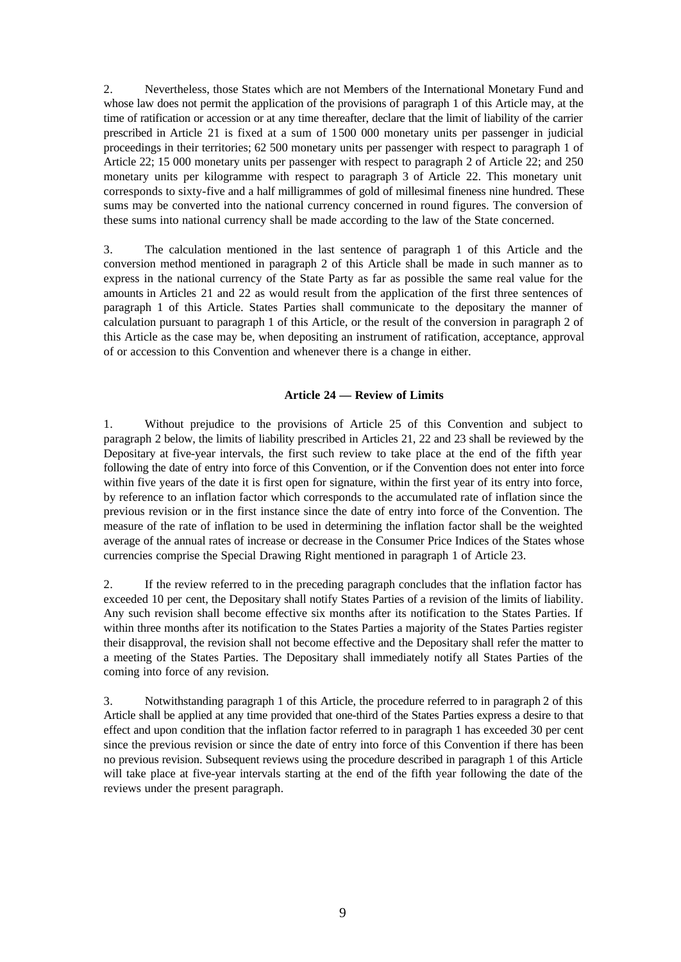2. Nevertheless, those States which are not Members of the International Monetary Fund and whose law does not permit the application of the provisions of paragraph 1 of this Article may, at the time of ratification or accession or at any time thereafter, declare that the limit of liability of the carrier prescribed in Article 21 is fixed at a sum of 1 500 000 monetary units per passenger in judicial proceedings in their territories; 62 500 monetary units per passenger with respect to paragraph 1 of Article 22; 15 000 monetary units per passenger with respect to paragraph 2 of Article 22; and 250 monetary units per kilogramme with respect to paragraph 3 of Article 22. This monetary unit corresponds to sixty-five and a half milligrammes of gold of millesimal fineness nine hundred. These sums may be converted into the national currency concerned in round figures. The conversion of these sums into national currency shall be made according to the law of the State concerned.

3. The calculation mentioned in the last sentence of paragraph 1 of this Article and the conversion method mentioned in paragraph 2 of this Article shall be made in such manner as to express in the national currency of the State Party as far as possible the same real value for the amounts in Articles 21 and 22 as would result from the application of the first three sentences of paragraph 1 of this Article. States Parties shall communicate to the depositary the manner of calculation pursuant to paragraph 1 of this Article, or the result of the conversion in paragraph 2 of this Article as the case may be, when depositing an instrument of ratification, acceptance, approval of or accession to this Convention and whenever there is a change in either.

## **Article 24 — Review of Limits**

1. Without prejudice to the provisions of Article 25 of this Convention and subject to paragraph 2 below, the limits of liability prescribed in Articles 21, 22 and 23 shall be reviewed by the Depositary at five-year intervals, the first such review to take place at the end of the fifth year following the date of entry into force of this Convention, or if the Convention does not enter into force within five years of the date it is first open for signature, within the first year of its entry into force, by reference to an inflation factor which corresponds to the accumulated rate of inflation since the previous revision or in the first instance since the date of entry into force of the Convention. The measure of the rate of inflation to be used in determining the inflation factor shall be the weighted average of the annual rates of increase or decrease in the Consumer Price Indices of the States whose currencies comprise the Special Drawing Right mentioned in paragraph 1 of Article 23.

2. If the review referred to in the preceding paragraph concludes that the inflation factor has exceeded 10 per cent, the Depositary shall notify States Parties of a revision of the limits of liability. Any such revision shall become effective six months after its notification to the States Parties. If within three months after its notification to the States Parties a majority of the States Parties register their disapproval, the revision shall not become effective and the Depositary shall refer the matter to a meeting of the States Parties. The Depositary shall immediately notify all States Parties of the coming into force of any revision.

3. Notwithstanding paragraph 1 of this Article, the procedure referred to in paragraph 2 of this Article shall be applied at any time provided that one-third of the States Parties express a desire to that effect and upon condition that the inflation factor referred to in paragraph 1 has exceeded 30 per cent since the previous revision or since the date of entry into force of this Convention if there has been no previous revision. Subsequent reviews using the procedure described in paragraph 1 of this Article will take place at five-year intervals starting at the end of the fifth year following the date of the reviews under the present paragraph.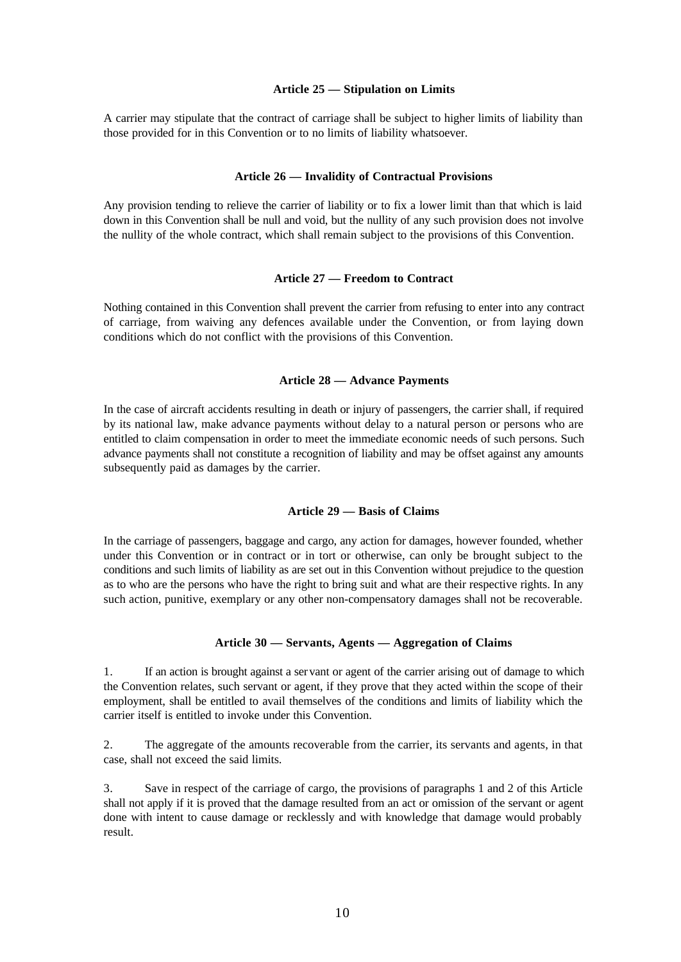#### **Article 25 — Stipulation on Limits**

A carrier may stipulate that the contract of carriage shall be subject to higher limits of liability than those provided for in this Convention or to no limits of liability whatsoever.

#### **Article 26 — Invalidity of Contractual Provisions**

Any provision tending to relieve the carrier of liability or to fix a lower limit than that which is laid down in this Convention shall be null and void, but the nullity of any such provision does not involve the nullity of the whole contract, which shall remain subject to the provisions of this Convention.

#### **Article 27 — Freedom to Contract**

Nothing contained in this Convention shall prevent the carrier from refusing to enter into any contract of carriage, from waiving any defences available under the Convention, or from laying down conditions which do not conflict with the provisions of this Convention.

#### **Article 28 — Advance Payments**

In the case of aircraft accidents resulting in death or injury of passengers, the carrier shall, if required by its national law, make advance payments without delay to a natural person or persons who are entitled to claim compensation in order to meet the immediate economic needs of such persons. Such advance payments shall not constitute a recognition of liability and may be offset against any amounts subsequently paid as damages by the carrier.

# **Article 29 — Basis of Claims**

In the carriage of passengers, baggage and cargo, any action for damages, however founded, whether under this Convention or in contract or in tort or otherwise, can only be brought subject to the conditions and such limits of liability as are set out in this Convention without prejudice to the question as to who are the persons who have the right to bring suit and what are their respective rights. In any such action, punitive, exemplary or any other non-compensatory damages shall not be recoverable.

# **Article 30 — Servants, Agents — Aggregation of Claims**

1. If an action is brought against a servant or agent of the carrier arising out of damage to which the Convention relates, such servant or agent, if they prove that they acted within the scope of their employment, shall be entitled to avail themselves of the conditions and limits of liability which the carrier itself is entitled to invoke under this Convention.

2. The aggregate of the amounts recoverable from the carrier, its servants and agents, in that case, shall not exceed the said limits.

3. Save in respect of the carriage of cargo, the provisions of paragraphs 1 and 2 of this Article shall not apply if it is proved that the damage resulted from an act or omission of the servant or agent done with intent to cause damage or recklessly and with knowledge that damage would probably result.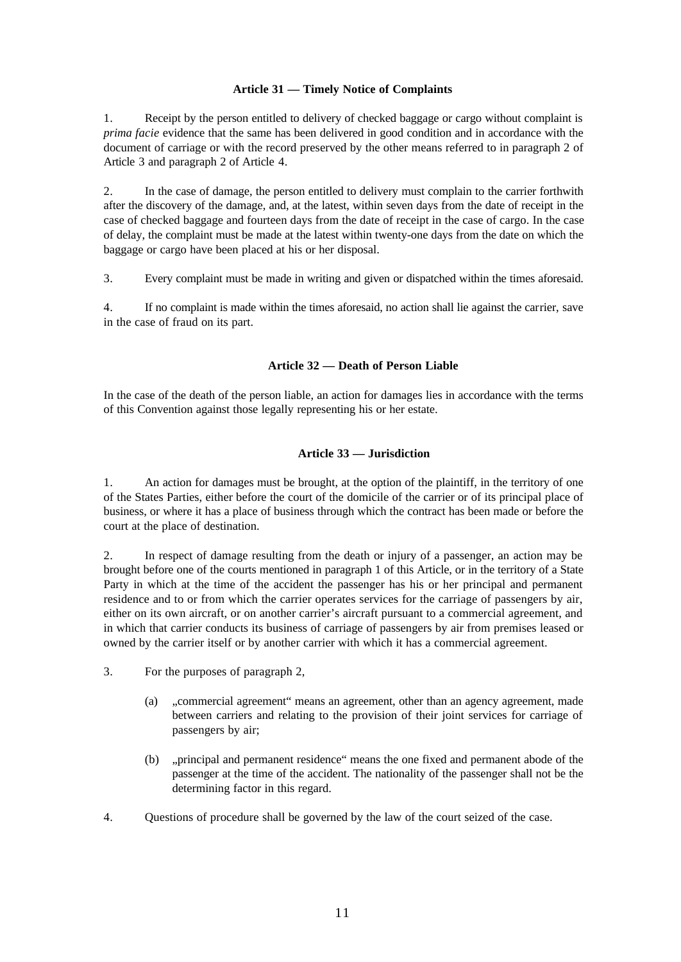# **Article 31 — Timely Notice of Complaints**

1. Receipt by the person entitled to delivery of checked baggage or cargo without complaint is *prima facie* evidence that the same has been delivered in good condition and in accordance with the document of carriage or with the record preserved by the other means referred to in paragraph 2 of Article 3 and paragraph 2 of Article 4.

2. In the case of damage, the person entitled to delivery must complain to the carrier forthwith after the discovery of the damage, and, at the latest, within seven days from the date of receipt in the case of checked baggage and fourteen days from the date of receipt in the case of cargo. In the case of delay, the complaint must be made at the latest within twenty-one days from the date on which the baggage or cargo have been placed at his or her disposal.

3. Every complaint must be made in writing and given or dispatched within the times aforesaid.

4. If no complaint is made within the times aforesaid, no action shall lie against the carrier, save in the case of fraud on its part.

# **Article 32 — Death of Person Liable**

In the case of the death of the person liable, an action for damages lies in accordance with the terms of this Convention against those legally representing his or her estate.

# **Article 33 — Jurisdiction**

1. An action for damages must be brought, at the option of the plaintiff, in the territory of one of the States Parties, either before the court of the domicile of the carrier or of its principal place of business, or where it has a place of business through which the contract has been made or before the court at the place of destination.

2. In respect of damage resulting from the death or injury of a passenger, an action may be brought before one of the courts mentioned in paragraph 1 of this Article, or in the territory of a State Party in which at the time of the accident the passenger has his or her principal and permanent residence and to or from which the carrier operates services for the carriage of passengers by air, either on its own aircraft, or on another carrier's aircraft pursuant to a commercial agreement, and in which that carrier conducts its business of carriage of passengers by air from premises leased or owned by the carrier itself or by another carrier with which it has a commercial agreement.

3. For the purposes of paragraph 2,

- (a) .commercial agreement" means an agreement, other than an agency agreement, made between carriers and relating to the provision of their joint services for carriage of passengers by air;
- (b) .principal and permanent residence" means the one fixed and permanent abode of the passenger at the time of the accident. The nationality of the passenger shall not be the determining factor in this regard.
- 4. Questions of procedure shall be governed by the law of the court seized of the case.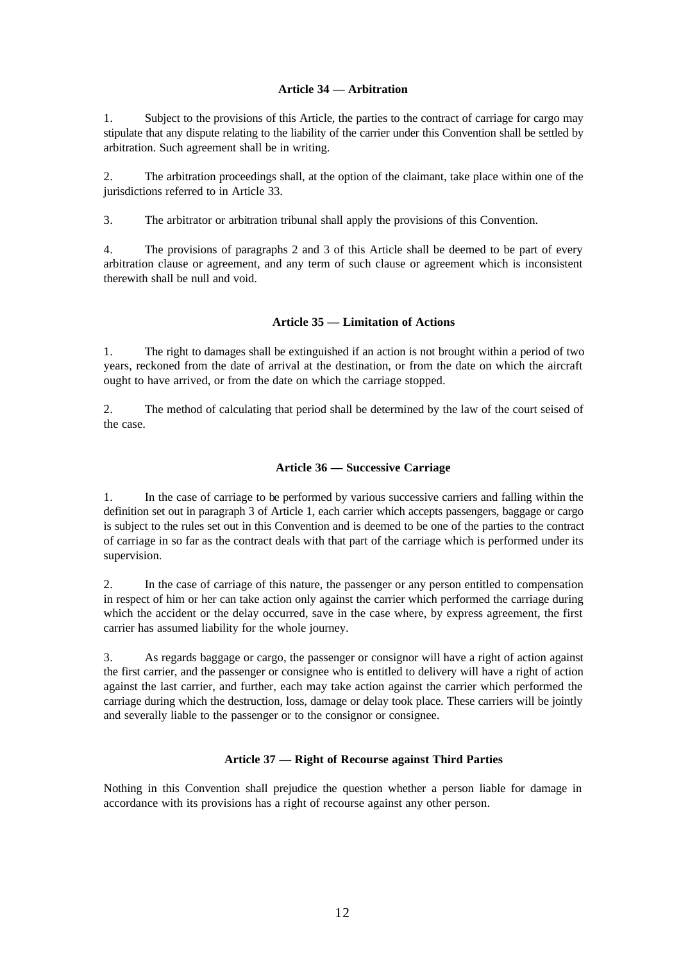# **Article 34 — Arbitration**

1. Subject to the provisions of this Article, the parties to the contract of carriage for cargo may stipulate that any dispute relating to the liability of the carrier under this Convention shall be settled by arbitration. Such agreement shall be in writing.

2. The arbitration proceedings shall, at the option of the claimant, take place within one of the jurisdictions referred to in Article 33.

3. The arbitrator or arbitration tribunal shall apply the provisions of this Convention.

4. The provisions of paragraphs 2 and 3 of this Article shall be deemed to be part of every arbitration clause or agreement, and any term of such clause or agreement which is inconsistent therewith shall be null and void.

## **Article 35 — Limitation of Actions**

1. The right to damages shall be extinguished if an action is not brought within a period of two years, reckoned from the date of arrival at the destination, or from the date on which the aircraft ought to have arrived, or from the date on which the carriage stopped.

2. The method of calculating that period shall be determined by the law of the court seised of the case.

## **Article 36 — Successive Carriage**

1. In the case of carriage to be performed by various successive carriers and falling within the definition set out in paragraph 3 of Article 1, each carrier which accepts passengers, baggage or cargo is subject to the rules set out in this Convention and is deemed to be one of the parties to the contract of carriage in so far as the contract deals with that part of the carriage which is performed under its supervision.

2. In the case of carriage of this nature, the passenger or any person entitled to compensation in respect of him or her can take action only against the carrier which performed the carriage during which the accident or the delay occurred, save in the case where, by express agreement, the first carrier has assumed liability for the whole journey.

3. As regards baggage or cargo, the passenger or consignor will have a right of action against the first carrier, and the passenger or consignee who is entitled to delivery will have a right of action against the last carrier, and further, each may take action against the carrier which performed the carriage during which the destruction, loss, damage or delay took place. These carriers will be jointly and severally liable to the passenger or to the consignor or consignee.

# **Article 37 — Right of Recourse against Third Parties**

Nothing in this Convention shall prejudice the question whether a person liable for damage in accordance with its provisions has a right of recourse against any other person.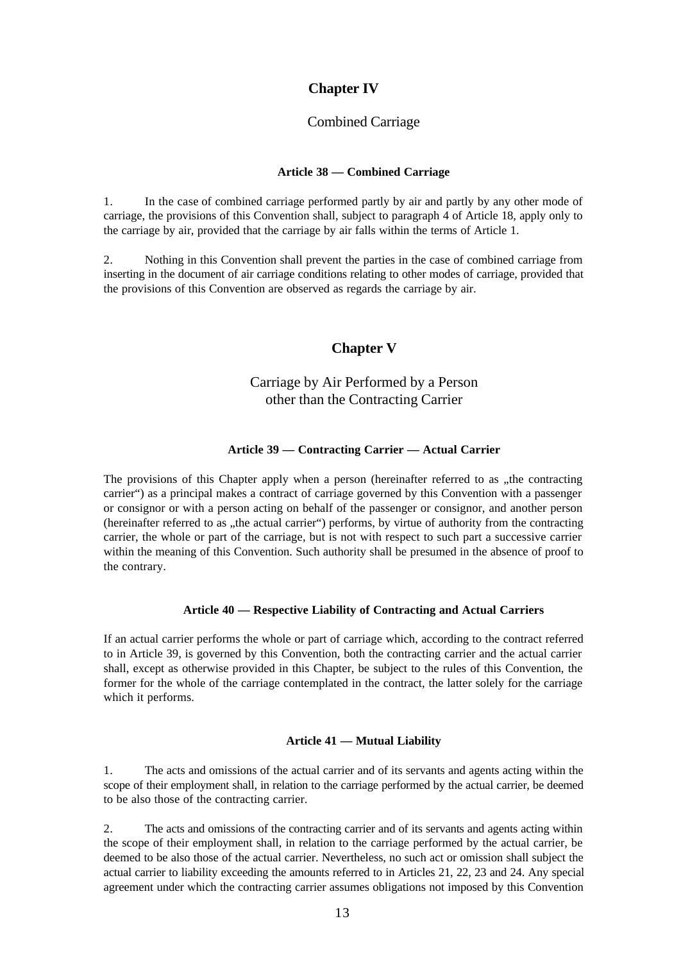# **Chapter IV**

# Combined Carriage

## **Article 38 — Combined Carriage**

1. In the case of combined carriage performed partly by air and partly by any other mode of carriage, the provisions of this Convention shall, subject to paragraph 4 of Article 18, apply only to the carriage by air, provided that the carriage by air falls within the terms of Article 1.

2. Nothing in this Convention shall prevent the parties in the case of combined carriage from inserting in the document of air carriage conditions relating to other modes of carriage, provided that the provisions of this Convention are observed as regards the carriage by air.

# **Chapter V**

# Carriage by Air Performed by a Person other than the Contracting Carrier

# **Article 39 — Contracting Carrier — Actual Carrier**

The provisions of this Chapter apply when a person (hereinafter referred to as "the contracting carrier") as a principal makes a contract of carriage governed by this Convention with a passenger or consignor or with a person acting on behalf of the passenger or consignor, and another person (hereinafter referred to as "the actual carrier") performs, by virtue of authority from the contracting carrier, the whole or part of the carriage, but is not with respect to such part a successive carrier within the meaning of this Convention. Such authority shall be presumed in the absence of proof to the contrary.

## **Article 40 — Respective Liability of Contracting and Actual Carriers**

If an actual carrier performs the whole or part of carriage which, according to the contract referred to in Article 39, is governed by this Convention, both the contracting carrier and the actual carrier shall, except as otherwise provided in this Chapter, be subject to the rules of this Convention, the former for the whole of the carriage contemplated in the contract, the latter solely for the carriage which it performs.

#### **Article 41 — Mutual Liability**

1. The acts and omissions of the actual carrier and of its servants and agents acting within the scope of their employment shall, in relation to the carriage performed by the actual carrier, be deemed to be also those of the contracting carrier.

2. The acts and omissions of the contracting carrier and of its servants and agents acting within the scope of their employment shall, in relation to the carriage performed by the actual carrier, be deemed to be also those of the actual carrier. Nevertheless, no such act or omission shall subject the actual carrier to liability exceeding the amounts referred to in Articles 21, 22, 23 and 24. Any special agreement under which the contracting carrier assumes obligations not imposed by this Convention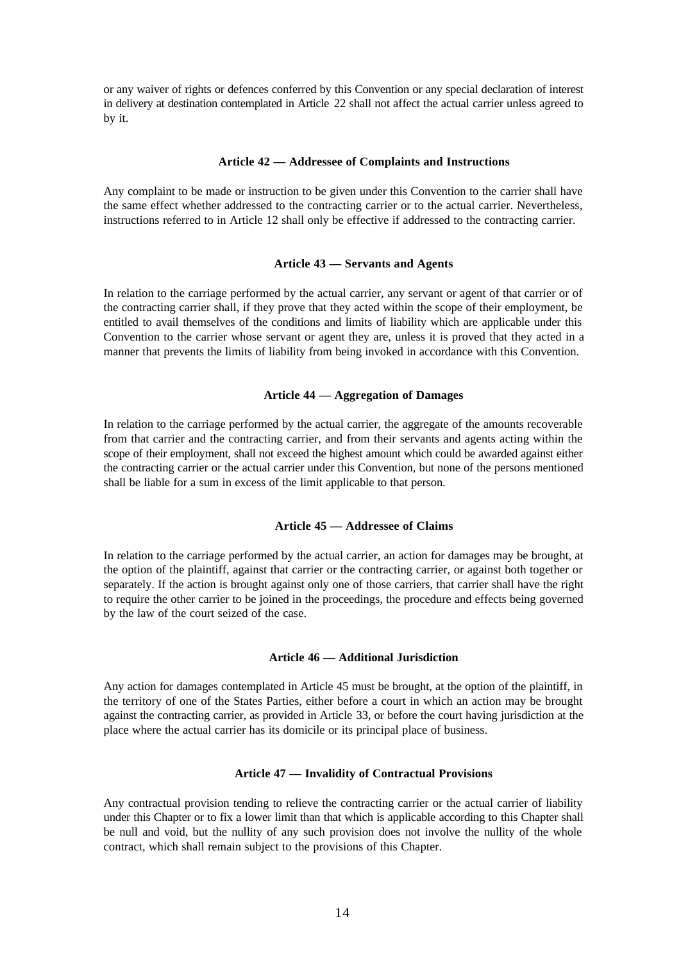or any waiver of rights or defences conferred by this Convention or any special declaration of interest in delivery at destination contemplated in Article 22 shall not affect the actual carrier unless agreed to by it.

#### **Article 42 — Addressee of Complaints and Instructions**

Any complaint to be made or instruction to be given under this Convention to the carrier shall have the same effect whether addressed to the contracting carrier or to the actual carrier. Nevertheless, instructions referred to in Article 12 shall only be effective if addressed to the contracting carrier.

#### **Article 43 — Servants and Agents**

In relation to the carriage performed by the actual carrier, any servant or agent of that carrier or of the contracting carrier shall, if they prove that they acted within the scope of their employment, be entitled to avail themselves of the conditions and limits of liability which are applicable under this Convention to the carrier whose servant or agent they are, unless it is proved that they acted in a manner that prevents the limits of liability from being invoked in accordance with this Convention.

# **Article 44 — Aggregation of Damages**

In relation to the carriage performed by the actual carrier, the aggregate of the amounts recoverable from that carrier and the contracting carrier, and from their servants and agents acting within the scope of their employment, shall not exceed the highest amount which could be awarded against either the contracting carrier or the actual carrier under this Convention, but none of the persons mentioned shall be liable for a sum in excess of the limit applicable to that person.

## **Article 45 — Addressee of Claims**

In relation to the carriage performed by the actual carrier, an action for damages may be brought, at the option of the plaintiff, against that carrier or the contracting carrier, or against both together or separately. If the action is brought against only one of those carriers, that carrier shall have the right to require the other carrier to be joined in the proceedings, the procedure and effects being governed by the law of the court seized of the case.

### **Article 46 — Additional Jurisdiction**

Any action for damages contemplated in Article 45 must be brought, at the option of the plaintiff, in the territory of one of the States Parties, either before a court in which an action may be brought against the contracting carrier, as provided in Article 33, or before the court having jurisdiction at the place where the actual carrier has its domicile or its principal place of business.

#### **Article 47 — Invalidity of Contractual Provisions**

Any contractual provision tending to relieve the contracting carrier or the actual carrier of liability under this Chapter or to fix a lower limit than that which is applicable according to this Chapter shall be null and void, but the nullity of any such provision does not involve the nullity of the whole contract, which shall remain subject to the provisions of this Chapter.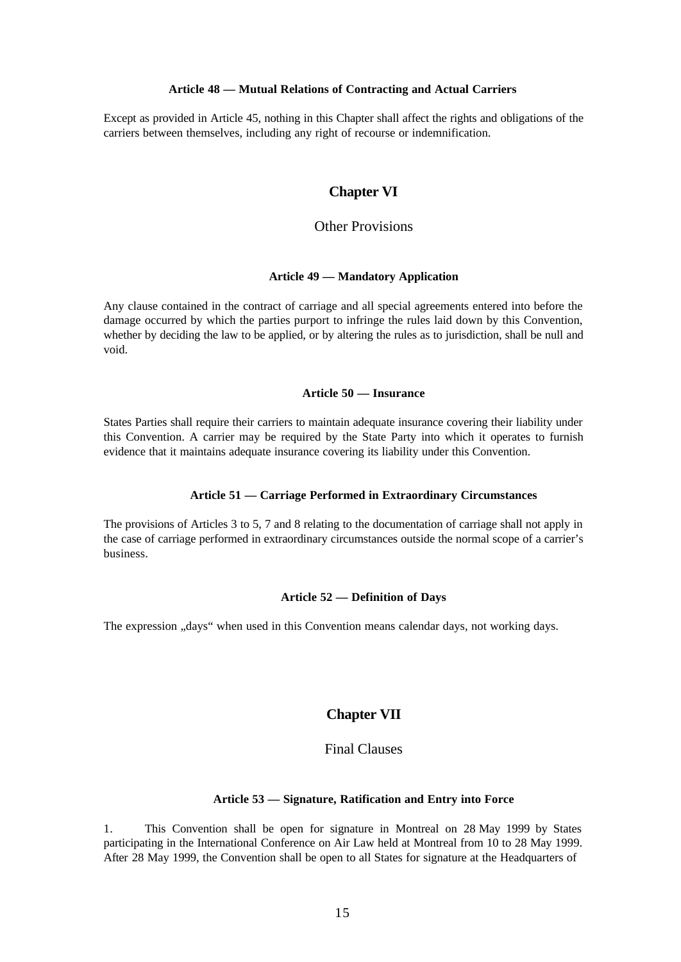#### **Article 48 — Mutual Relations of Contracting and Actual Carriers**

Except as provided in Article 45, nothing in this Chapter shall affect the rights and obligations of the carriers between themselves, including any right of recourse or indemnification.

# **Chapter VI**

# Other Provisions

#### **Article 49 — Mandatory Application**

Any clause contained in the contract of carriage and all special agreements entered into before the damage occurred by which the parties purport to infringe the rules laid down by this Convention, whether by deciding the law to be applied, or by altering the rules as to jurisdiction, shall be null and void.

#### **Article 50 — Insurance**

States Parties shall require their carriers to maintain adequate insurance covering their liability under this Convention. A carrier may be required by the State Party into which it operates to furnish evidence that it maintains adequate insurance covering its liability under this Convention.

# **Article 51 — Carriage Performed in Extraordinary Circumstances**

The provisions of Articles 3 to 5, 7 and 8 relating to the documentation of carriage shall not apply in the case of carriage performed in extraordinary circumstances outside the normal scope of a carrier's business.

## **Article 52 — Definition of Days**

The expression "days" when used in this Convention means calendar days, not working days.

# **Chapter VII**

# Final Clauses

#### **Article 53 — Signature, Ratification and Entry into Force**

1. This Convention shall be open for signature in Montreal on 28 May 1999 by States participating in the International Conference on Air Law held at Montreal from 10 to 28 May 1999. After 28 May 1999, the Convention shall be open to all States for signature at the Headquarters of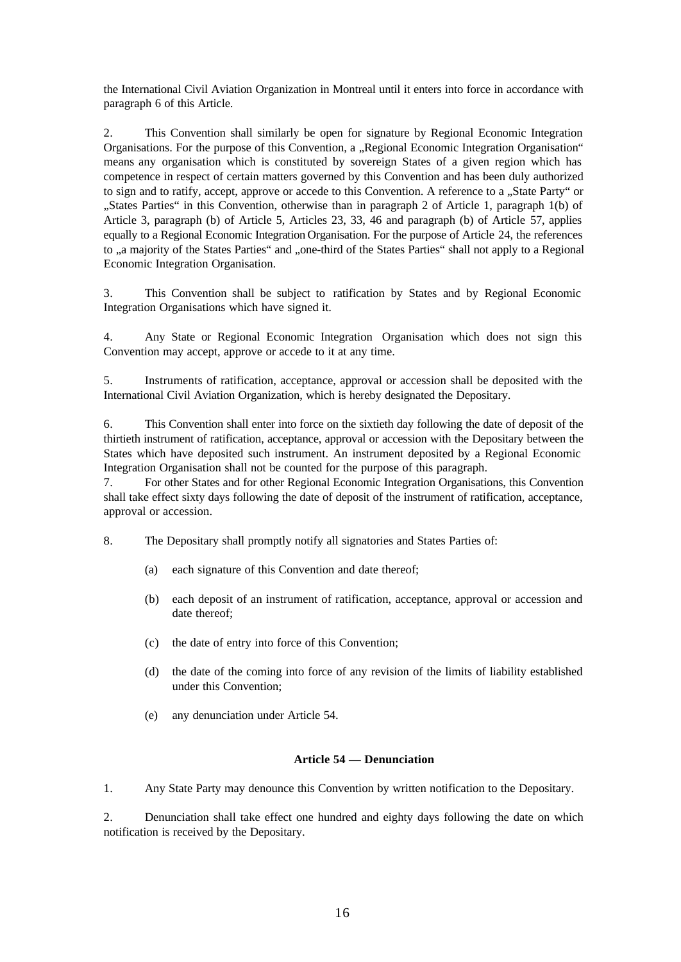the International Civil Aviation Organization in Montreal until it enters into force in accordance with paragraph 6 of this Article.

2. This Convention shall similarly be open for signature by Regional Economic Integration Organisations. For the purpose of this Convention, a "Regional Economic Integration Organisation" means any organisation which is constituted by sovereign States of a given region which has competence in respect of certain matters governed by this Convention and has been duly authorized to sign and to ratify, accept, approve or accede to this Convention. A reference to a "State Party" or "States Parties" in this Convention, otherwise than in paragraph 2 of Article 1, paragraph 1(b) of Article 3, paragraph (b) of Article 5, Articles 23, 33, 46 and paragraph (b) of Article 57, applies equally to a Regional Economic Integration Organisation. For the purpose of Article 24, the references to "a majority of the States Parties" and "one-third of the States Parties" shall not apply to a Regional Economic Integration Organisation.

3. This Convention shall be subject to ratification by States and by Regional Economic Integration Organisations which have signed it.

4. Any State or Regional Economic Integration Organisation which does not sign this Convention may accept, approve or accede to it at any time.

5. Instruments of ratification, acceptance, approval or accession shall be deposited with the International Civil Aviation Organization, which is hereby designated the Depositary.

6. This Convention shall enter into force on the sixtieth day following the date of deposit of the thirtieth instrument of ratification, acceptance, approval or accession with the Depositary between the States which have deposited such instrument. An instrument deposited by a Regional Economic Integration Organisation shall not be counted for the purpose of this paragraph.

7. For other States and for other Regional Economic Integration Organisations, this Convention shall take effect sixty days following the date of deposit of the instrument of ratification, acceptance, approval or accession.

8. The Depositary shall promptly notify all signatories and States Parties of:

- (a) each signature of this Convention and date thereof;
- (b) each deposit of an instrument of ratification, acceptance, approval or accession and date thereof;
- (c) the date of entry into force of this Convention;
- (d) the date of the coming into force of any revision of the limits of liability established under this Convention;
- (e) any denunciation under Article 54.

#### **Article 54 — Denunciation**

1. Any State Party may denounce this Convention by written notification to the Depositary.

2. Denunciation shall take effect one hundred and eighty days following the date on which notification is received by the Depositary.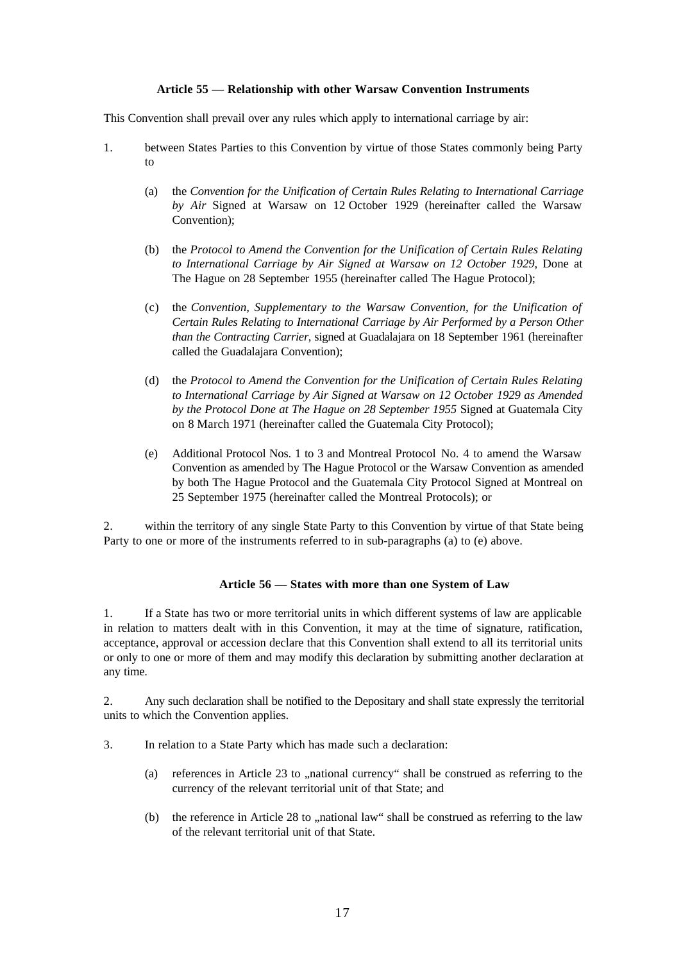#### **Article 55 — Relationship with other Warsaw Convention Instruments**

This Convention shall prevail over any rules which apply to international carriage by air:

- 1. between States Parties to this Convention by virtue of those States commonly being Party to
	- (a) the *Convention for the Unification of Certain Rules Relating to International Carriage by Air* Signed at Warsaw on 12 October 1929 (hereinafter called the Warsaw Convention);
	- (b) the *Protocol to Amend the Convention for the Unification of Certain Rules Relating to International Carriage by Air Signed at Warsaw on 12 October 1929*, Done at The Hague on 28 September 1955 (hereinafter called The Hague Protocol);
	- (c) the *Convention, Supplementary to the Warsaw Convention, for the Unification of Certain Rules Relating to International Carriage by Air Performed by a Person Other than the Contracting Carrier*, signed at Guadalajara on 18 September 1961 (hereinafter called the Guadalajara Convention);
	- (d) the *Protocol to Amend the Convention for the Unification of Certain Rules Relating to International Carriage by Air Signed at Warsaw on 12 October 1929 as Amended by the Protocol Done at The Hague on 28 September 1955* Signed at Guatemala City on 8 March 1971 (hereinafter called the Guatemala City Protocol);
	- (e) Additional Protocol Nos. 1 to 3 and Montreal Protocol No. 4 to amend the Warsaw Convention as amended by The Hague Protocol or the Warsaw Convention as amended by both The Hague Protocol and the Guatemala City Protocol Signed at Montreal on 25 September 1975 (hereinafter called the Montreal Protocols); or

2. within the territory of any single State Party to this Convention by virtue of that State being Party to one or more of the instruments referred to in sub-paragraphs (a) to (e) above.

# **Article 56 — States with more than one System of Law**

1. If a State has two or more territorial units in which different systems of law are applicable in relation to matters dealt with in this Convention, it may at the time of signature, ratification, acceptance, approval or accession declare that this Convention shall extend to all its territorial units or only to one or more of them and may modify this declaration by submitting another declaration at any time.

2. Any such declaration shall be notified to the Depositary and shall state expressly the territorial units to which the Convention applies.

- 3. In relation to a State Party which has made such a declaration:
	- (a) references in Article 23 to  $\alpha$ , national currency  $\alpha$  shall be construed as referring to the currency of the relevant territorial unit of that State; and
	- (b) the reference in Article 28 to  $\alpha$ , national law" shall be construed as referring to the law of the relevant territorial unit of that State.